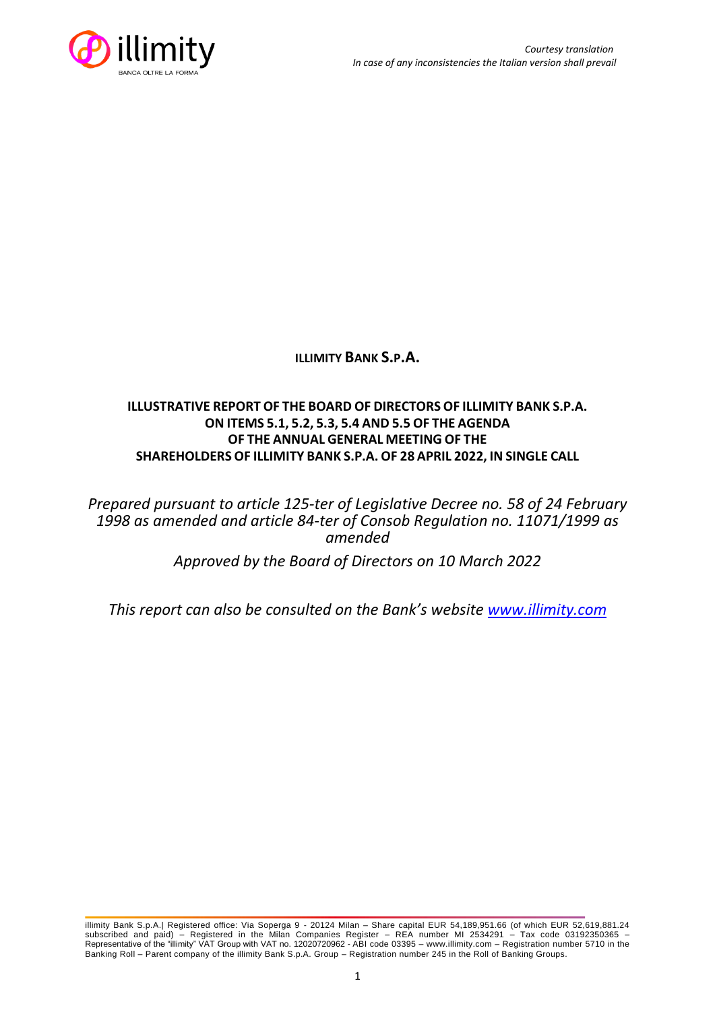

**ILLIMITY BANK S.P.A.**

# **ILLUSTRATIVE REPORT OF THE BOARD OF DIRECTORS OF ILLIMITY BANK S.P.A. ON ITEMS 5.1, 5.2, 5.3, 5.4 AND 5.5 OF THE AGENDA OF THE ANNUAL GENERAL MEETING OF THE SHAREHOLDERS OF ILLIMITY BANK S.P.A. OF 28 APRIL 2022, IN SINGLE CALL**

*Prepared pursuant to article 125-ter of Legislative Decree no. 58 of 24 February 1998 as amended and article 84-ter of Consob Regulation no. 11071/1999 as amended*

*Approved by the Board of Directors on 10 March 2022*

*This report can also be consulted on the Bank's website [www.illimity.com](http://www.illimity.com/)*

illimity Bank S.p.A.| Registered office: Via Soperga 9 - 20124 Milan – Share capital EUR 54,189,951.66 (of which EUR 52,619,881.24 subscribed and paid) – Registered in the Milan Companies Register – REA number MI 2534291 – Tax code 03192350365 – Representative of the "illimity" VAT Group with VAT no. 12020720962 - ABI code 03395 – [www.illimity.com](http://www.illimity.com/) – Registration number 5710 in the Banking Roll – Parent company of the illimity Bank S.p.A. Group – Registration number 245 in the Roll of Banking Groups.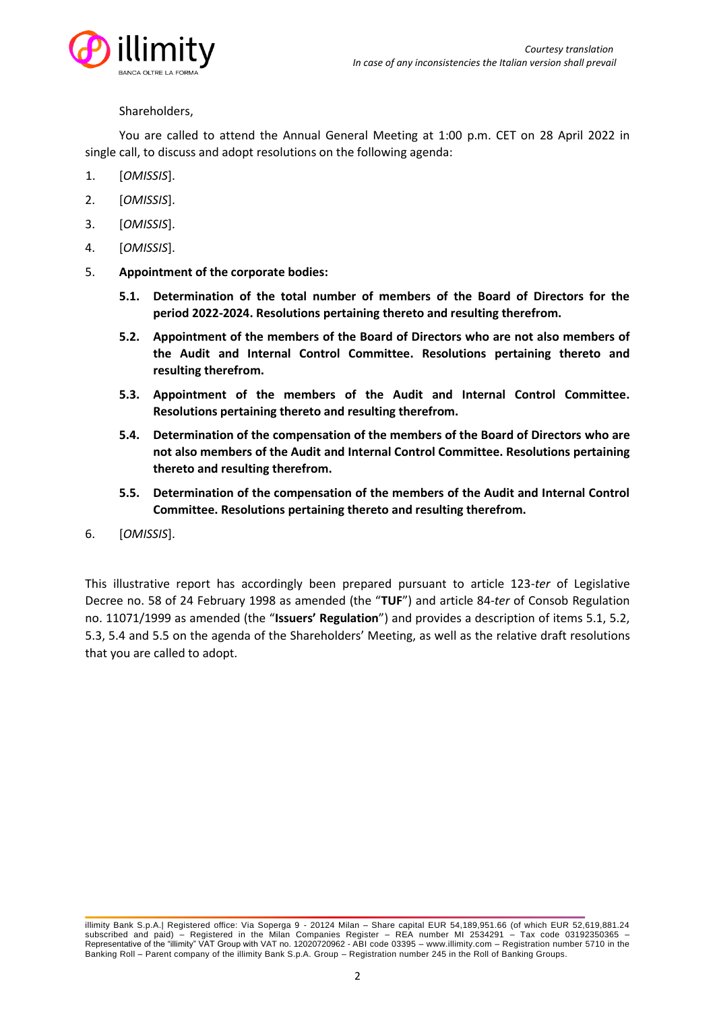

### Shareholders,

You are called to attend the Annual General Meeting at 1:00 p.m. CET on 28 April 2022 in single call, to discuss and adopt resolutions on the following agenda:

- 1. [*OMISSIS*].
- 2. [*OMISSIS*].
- 3. [*OMISSIS*].
- 4. [*OMISSIS*].
- 5. **Appointment of the corporate bodies:**
	- **5.1. Determination of the total number of members of the Board of Directors for the period 2022-2024. Resolutions pertaining thereto and resulting therefrom.**
	- **5.2. Appointment of the members of the Board of Directors who are not also members of the Audit and Internal Control Committee. Resolutions pertaining thereto and resulting therefrom.**
	- **5.3. Appointment of the members of the Audit and Internal Control Committee. Resolutions pertaining thereto and resulting therefrom.**
	- **5.4. Determination of the compensation of the members of the Board of Directors who are not also members of the Audit and Internal Control Committee. Resolutions pertaining thereto and resulting therefrom.**
	- **5.5. Determination of the compensation of the members of the Audit and Internal Control Committee. Resolutions pertaining thereto and resulting therefrom.**
- 6. [*OMISSIS*].

This illustrative report has accordingly been prepared pursuant to article 123-*ter* of Legislative Decree no. 58 of 24 February 1998 as amended (the "**TUF**") and article 84-*ter* of Consob Regulation no. 11071/1999 as amended (the "**Issuers' Regulation**") and provides a description of items 5.1, 5.2, 5.3, 5.4 and 5.5 on the agenda of the Shareholders' Meeting, as well as the relative draft resolutions that you are called to adopt.

illimity Bank S.p.A.| Registered office: Via Soperga 9 - 20124 Milan – Share capital EUR 54,189,951.66 (of which EUR 52,619,881.24 subscribed and paid) – Registered in the Milan Companies Register – REA number MI 2534291 – Tax code 03192350365 – Representative of the "illimity" VAT Group with VAT no. 12020720962 - ABI code 03395 – [www.illimity.com](http://www.illimity.com/) – Registration number 5710 in the Banking Roll – Parent company of the illimity Bank S.p.A. Group – Registration number 245 in the Roll of Banking Groups.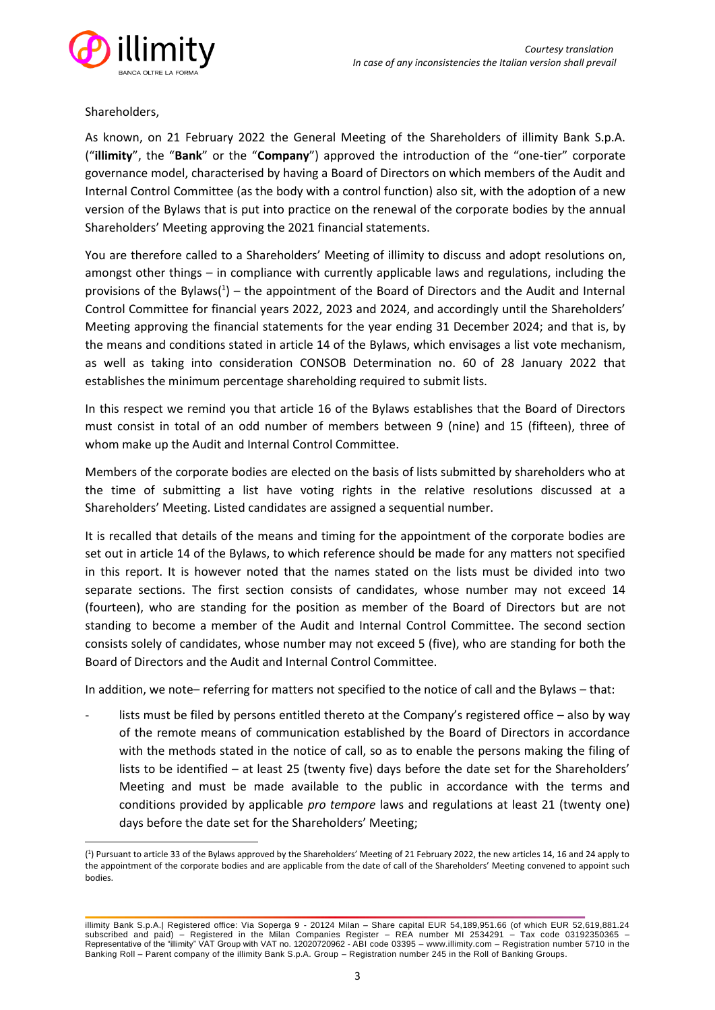

Shareholders,

As known, on 21 February 2022 the General Meeting of the Shareholders of illimity Bank S.p.A. ("**illimity**", the "**Bank**" or the "**Company**") approved the introduction of the "one-tier" corporate governance model, characterised by having a Board of Directors on which members of the Audit and Internal Control Committee (as the body with a control function) also sit, with the adoption of a new version of the Bylaws that is put into practice on the renewal of the corporate bodies by the annual Shareholders' Meeting approving the 2021 financial statements.

You are therefore called to a Shareholders' Meeting of illimity to discuss and adopt resolutions on, amongst other things – in compliance with currently applicable laws and regulations, including the provisions of the Bylaws( $1$ ) – the appointment of the Board of Directors and the Audit and Internal Control Committee for financial years 2022, 2023 and 2024, and accordingly until the Shareholders' Meeting approving the financial statements for the year ending 31 December 2024; and that is, by the means and conditions stated in article 14 of the Bylaws, which envisages a list vote mechanism, as well as taking into consideration CONSOB Determination no. 60 of 28 January 2022 that establishes the minimum percentage shareholding required to submit lists.

In this respect we remind you that article 16 of the Bylaws establishes that the Board of Directors must consist in total of an odd number of members between 9 (nine) and 15 (fifteen), three of whom make up the Audit and Internal Control Committee.

Members of the corporate bodies are elected on the basis of lists submitted by shareholders who at the time of submitting a list have voting rights in the relative resolutions discussed at a Shareholders' Meeting. Listed candidates are assigned a sequential number.

It is recalled that details of the means and timing for the appointment of the corporate bodies are set out in article 14 of the Bylaws, to which reference should be made for any matters not specified in this report. It is however noted that the names stated on the lists must be divided into two separate sections. The first section consists of candidates, whose number may not exceed 14 (fourteen), who are standing for the position as member of the Board of Directors but are not standing to become a member of the Audit and Internal Control Committee. The second section consists solely of candidates, whose number may not exceed 5 (five), who are standing for both the Board of Directors and the Audit and Internal Control Committee.

In addition, we note– referring for matters not specified to the notice of call and the Bylaws – that:

lists must be filed by persons entitled thereto at the Company's registered office – also by way of the remote means of communication established by the Board of Directors in accordance with the methods stated in the notice of call, so as to enable the persons making the filing of lists to be identified – at least 25 (twenty five) days before the date set for the Shareholders' Meeting and must be made available to the public in accordance with the terms and conditions provided by applicable *pro tempore* laws and regulations at least 21 (twenty one) days before the date set for the Shareholders' Meeting;

<sup>(</sup> 1 ) Pursuant to article 33 of the Bylaws approved by the Shareholders' Meeting of 21 February 2022, the new articles 14, 16 and 24 apply to the appointment of the corporate bodies and are applicable from the date of call of the Shareholders' Meeting convened to appoint such bodies.

illimity Bank S.p.A.| Registered office: Via Soperga 9 - 20124 Milan – Share capital EUR 54,189,951.66 (of which EUR 52,619,881.24 subscribed and paid) – Registered in the Milan Companies Register – REA number MI 2534291 – Tax code 03192350365 – Representative of the "illimity" VAT Group with VAT no. 12020720962 - ABI code 03395 – [www.illimity.com](http://www.illimity.com/) – Registration number 5710 in the Banking Roll – Parent company of the illimity Bank S.p.A. Group – Registration number 245 in the Roll of Banking Groups.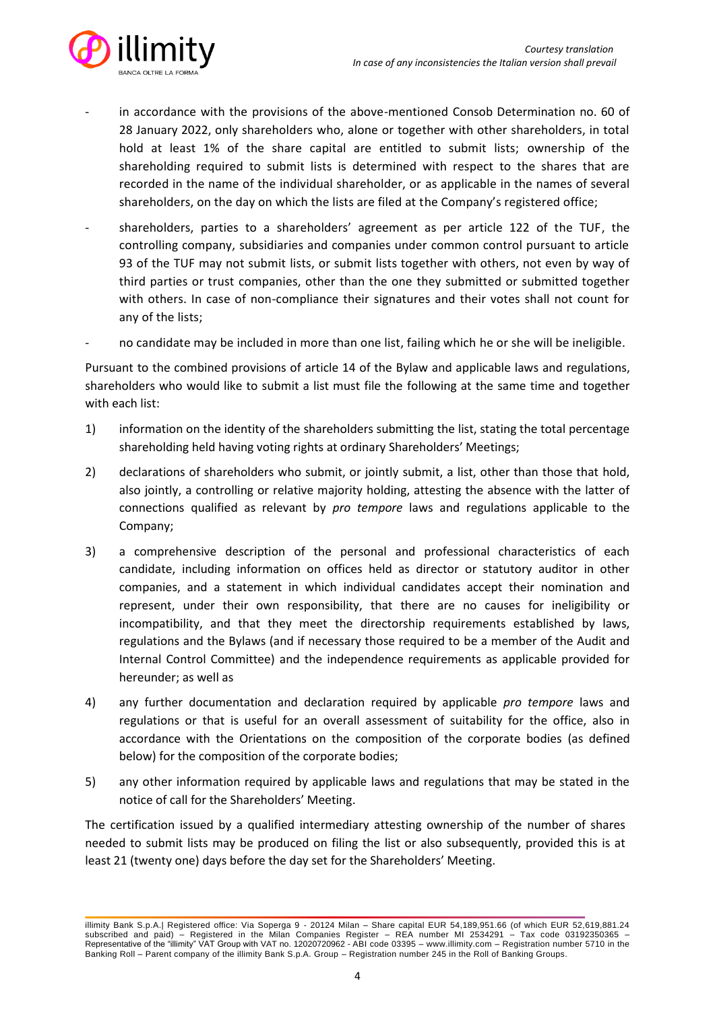

- in accordance with the provisions of the above-mentioned Consob Determination no. 60 of 28 January 2022, only shareholders who, alone or together with other shareholders, in total hold at least 1% of the share capital are entitled to submit lists; ownership of the shareholding required to submit lists is determined with respect to the shares that are recorded in the name of the individual shareholder, or as applicable in the names of several shareholders, on the day on which the lists are filed at the Company's registered office;
- shareholders, parties to a shareholders' agreement as per article 122 of the TUF, the controlling company, subsidiaries and companies under common control pursuant to article 93 of the TUF may not submit lists, or submit lists together with others, not even by way of third parties or trust companies, other than the one they submitted or submitted together with others. In case of non-compliance their signatures and their votes shall not count for any of the lists;
- no candidate may be included in more than one list, failing which he or she will be ineligible.

Pursuant to the combined provisions of article 14 of the Bylaw and applicable laws and regulations, shareholders who would like to submit a list must file the following at the same time and together with each list:

- 1) information on the identity of the shareholders submitting the list, stating the total percentage shareholding held having voting rights at ordinary Shareholders' Meetings;
- 2) declarations of shareholders who submit, or jointly submit, a list, other than those that hold, also jointly, a controlling or relative majority holding, attesting the absence with the latter of connections qualified as relevant by *pro tempore* laws and regulations applicable to the Company;
- 3) a comprehensive description of the personal and professional characteristics of each candidate, including information on offices held as director or statutory auditor in other companies, and a statement in which individual candidates accept their nomination and represent, under their own responsibility, that there are no causes for ineligibility or incompatibility, and that they meet the directorship requirements established by laws, regulations and the Bylaws (and if necessary those required to be a member of the Audit and Internal Control Committee) and the independence requirements as applicable provided for hereunder; as well as
- 4) any further documentation and declaration required by applicable *pro tempore* laws and regulations or that is useful for an overall assessment of suitability for the office, also in accordance with the Orientations on the composition of the corporate bodies (as defined below) for the composition of the corporate bodies;
- 5) any other information required by applicable laws and regulations that may be stated in the notice of call for the Shareholders' Meeting.

The certification issued by a qualified intermediary attesting ownership of the number of shares needed to submit lists may be produced on filing the list or also subsequently, provided this is at least 21 (twenty one) days before the day set for the Shareholders' Meeting.

illimity Bank S.p.A.| Registered office: Via Soperga 9 - 20124 Milan – Share capital EUR 54,189,951.66 (of which EUR 52,619,881.24 subscribed and paid) – Registered in the Milan Companies Register – REA number MI 2534291 – Tax code 03192350365 – Representative of the "illimity" VAT Group with VAT no. 12020720962 - ABI code 03395 – [www.illimity.com](http://www.illimity.com/) – Registration number 5710 in the Banking Roll – Parent company of the illimity Bank S.p.A. Group – Registration number 245 in the Roll of Banking Groups.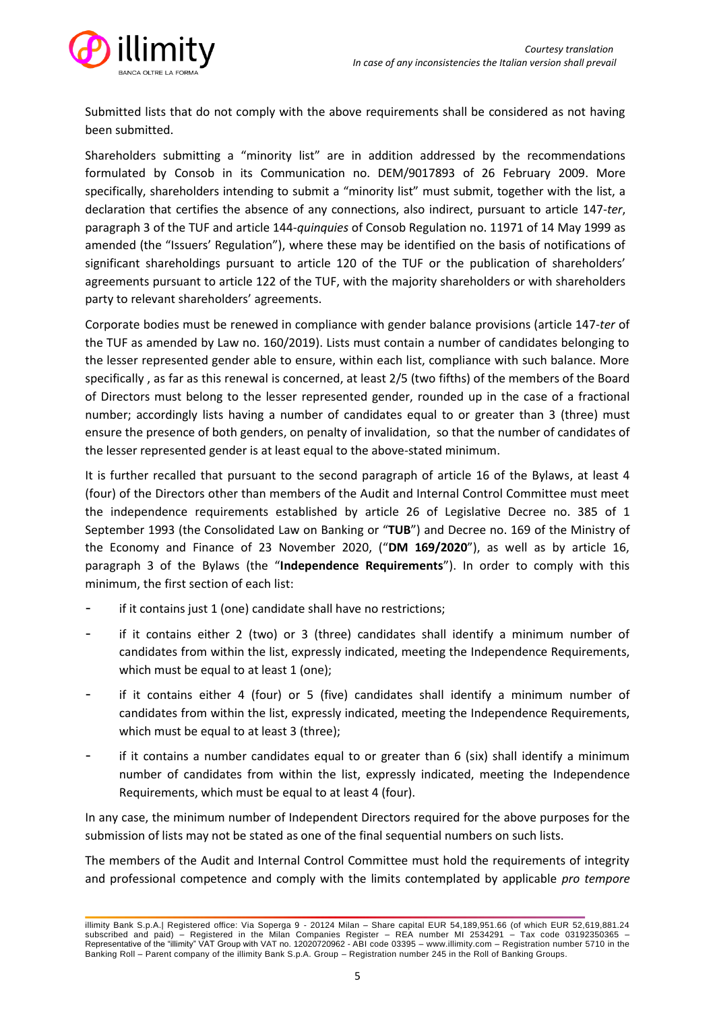

Submitted lists that do not comply with the above requirements shall be considered as not having been submitted.

Shareholders submitting a "minority list" are in addition addressed by the recommendations formulated by Consob in its Communication no. DEM/9017893 of 26 February 2009. More specifically, shareholders intending to submit a "minority list" must submit, together with the list, a declaration that certifies the absence of any connections, also indirect, pursuant to article 147-*ter*, paragraph 3 of the TUF and article 144-*quinquies* of Consob Regulation no. 11971 of 14 May 1999 as amended (the "Issuers' Regulation"), where these may be identified on the basis of notifications of significant shareholdings pursuant to article 120 of the TUF or the publication of shareholders' agreements pursuant to article 122 of the TUF, with the majority shareholders or with shareholders party to relevant shareholders' agreements.

Corporate bodies must be renewed in compliance with gender balance provisions (article 147-*ter* of the TUF as amended by Law no. 160/2019). Lists must contain a number of candidates belonging to the lesser represented gender able to ensure, within each list, compliance with such balance. More specifically , as far as this renewal is concerned, at least 2/5 (two fifths) of the members of the Board of Directors must belong to the lesser represented gender, rounded up in the case of a fractional number; accordingly lists having a number of candidates equal to or greater than 3 (three) must ensure the presence of both genders, on penalty of invalidation, so that the number of candidates of the lesser represented gender is at least equal to the above-stated minimum.

It is further recalled that pursuant to the second paragraph of article 16 of the Bylaws, at least 4 (four) of the Directors other than members of the Audit and Internal Control Committee must meet the independence requirements established by article 26 of Legislative Decree no. 385 of 1 September 1993 (the Consolidated Law on Banking or "**TUB**") and Decree no. 169 of the Ministry of the Economy and Finance of 23 November 2020, ("**DM 169/2020**"), as well as by article 16, paragraph 3 of the Bylaws (the "**Independence Requirements**"). In order to comply with this minimum, the first section of each list:

- if it contains just 1 (one) candidate shall have no restrictions;
- if it contains either 2 (two) or 3 (three) candidates shall identify a minimum number of candidates from within the list, expressly indicated, meeting the Independence Requirements, which must be equal to at least 1 (one);
- if it contains either 4 (four) or 5 (five) candidates shall identify a minimum number of candidates from within the list, expressly indicated, meeting the Independence Requirements, which must be equal to at least 3 (three);
- if it contains a number candidates equal to or greater than 6 (six) shall identify a minimum number of candidates from within the list, expressly indicated, meeting the Independence Requirements, which must be equal to at least 4 (four).

In any case, the minimum number of Independent Directors required for the above purposes for the submission of lists may not be stated as one of the final sequential numbers on such lists.

The members of the Audit and Internal Control Committee must hold the requirements of integrity and professional competence and comply with the limits contemplated by applicable *pro tempore*

illimity Bank S.p.A.| Registered office: Via Soperga 9 - 20124 Milan – Share capital EUR 54,189,951.66 (of which EUR 52,619,881.24 subscribed and paid) – Registered in the Milan Companies Register – REA number MI 2534291 – Tax code 03192350365 – Representative of the "illimity" VAT Group with VAT no. 12020720962 - ABI code 03395 – [www.illimity.com](http://www.illimity.com/) – Registration number 5710 in the Banking Roll – Parent company of the illimity Bank S.p.A. Group – Registration number 245 in the Roll of Banking Groups.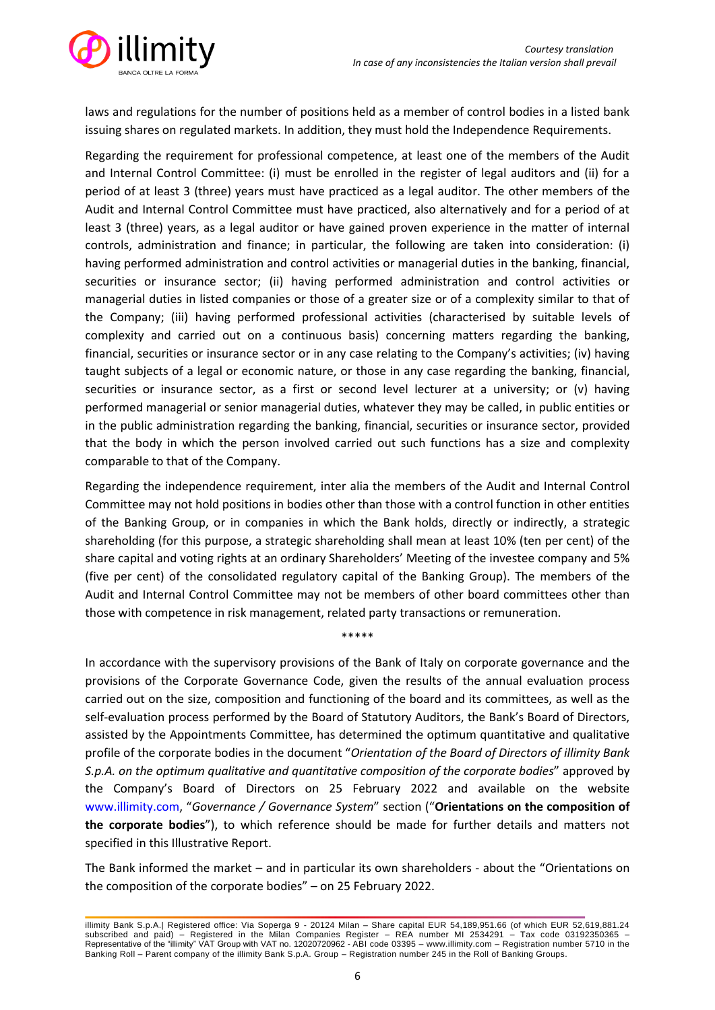

laws and regulations for the number of positions held as a member of control bodies in a listed bank issuing shares on regulated markets. In addition, they must hold the Independence Requirements.

Regarding the requirement for professional competence, at least one of the members of the Audit and Internal Control Committee: (i) must be enrolled in the register of legal auditors and (ii) for a period of at least 3 (three) years must have practiced as a legal auditor. The other members of the Audit and Internal Control Committee must have practiced, also alternatively and for a period of at least 3 (three) years, as a legal auditor or have gained proven experience in the matter of internal controls, administration and finance; in particular, the following are taken into consideration: (i) having performed administration and control activities or managerial duties in the banking, financial, securities or insurance sector; (ii) having performed administration and control activities or managerial duties in listed companies or those of a greater size or of a complexity similar to that of the Company; (iii) having performed professional activities (characterised by suitable levels of complexity and carried out on a continuous basis) concerning matters regarding the banking, financial, securities or insurance sector or in any case relating to the Company's activities; (iv) having taught subjects of a legal or economic nature, or those in any case regarding the banking, financial, securities or insurance sector, as a first or second level lecturer at a university; or (v) having performed managerial or senior managerial duties, whatever they may be called, in public entities or in the public administration regarding the banking, financial, securities or insurance sector, provided that the body in which the person involved carried out such functions has a size and complexity comparable to that of the Company.

Regarding the independence requirement, inter alia the members of the Audit and Internal Control Committee may not hold positions in bodies other than those with a control function in other entities of the Banking Group, or in companies in which the Bank holds, directly or indirectly, a strategic shareholding (for this purpose, a strategic shareholding shall mean at least 10% (ten per cent) of the share capital and voting rights at an ordinary Shareholders' Meeting of the investee company and 5% (five per cent) of the consolidated regulatory capital of the Banking Group). The members of the Audit and Internal Control Committee may not be members of other board committees other than those with competence in risk management, related party transactions or remuneration.

\*\*\*\*\*

In accordance with the supervisory provisions of the Bank of Italy on corporate governance and the provisions of the Corporate Governance Code, given the results of the annual evaluation process carried out on the size, composition and functioning of the board and its committees, as well as the self-evaluation process performed by the Board of Statutory Auditors, the Bank's Board of Directors, assisted by the Appointments Committee, has determined the optimum quantitative and qualitative profile of the corporate bodies in the document "*Orientation of the Board of Directors of illimity Bank S.p.A. on the optimum qualitative and quantitative composition of the corporate bodies*" approved by the Company's Board of Directors on 25 February 2022 and available on the website [www.illimity.com](http://www.illimity.com/), "*Governance / Governance System*" section ("**Orientations on the composition of the corporate bodies**"), to which reference should be made for further details and matters not specified in this Illustrative Report.

The Bank informed the market – and in particular its own shareholders - about the "Orientations on the composition of the corporate bodies" – on 25 February 2022.

illimity Bank S.p.A.| Registered office: Via Soperga 9 - 20124 Milan – Share capital EUR 54,189,951.66 (of which EUR 52,619,881.24 subscribed and paid) – Registered in the Milan Companies Register – REA number MI 2534291 – Tax code 03192350365 – Representative of the "illimity" VAT Group with VAT no. 12020720962 - ABI code 03395 – [www.illimity.com](http://www.illimity.com/) – Registration number 5710 in the Banking Roll – Parent company of the illimity Bank S.p.A. Group – Registration number 245 in the Roll of Banking Groups.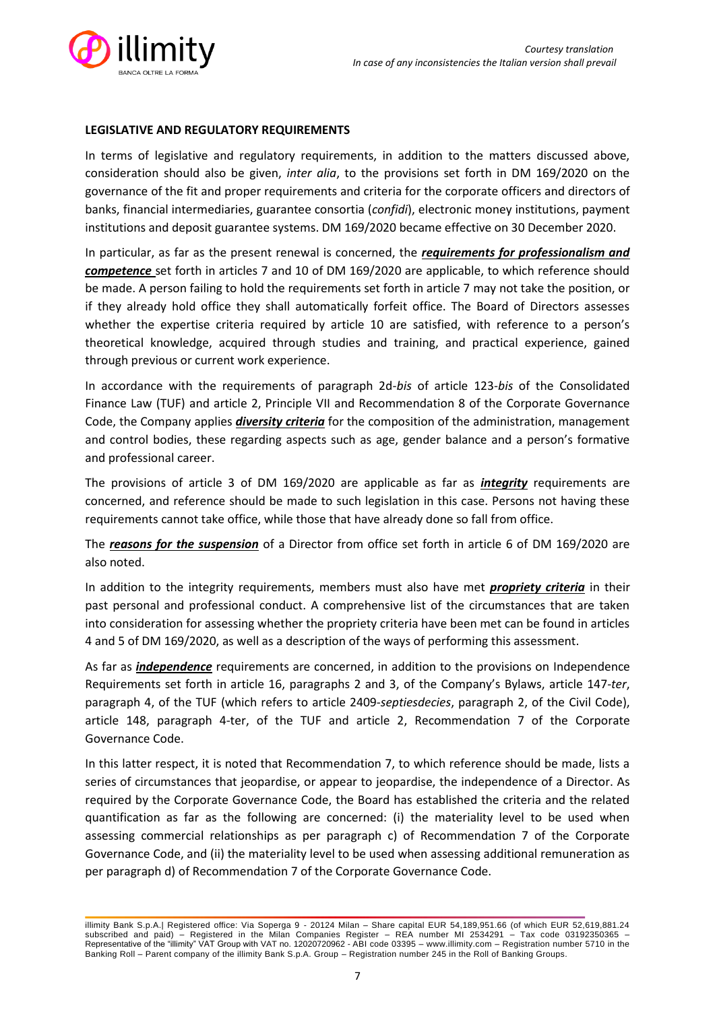

### **LEGISLATIVE AND REGULATORY REQUIREMENTS**

In terms of legislative and regulatory requirements, in addition to the matters discussed above, consideration should also be given, *inter alia*, to the provisions set forth in DM 169/2020 on the governance of the fit and proper requirements and criteria for the corporate officers and directors of banks, financial intermediaries, guarantee consortia (*confidi*), electronic money institutions, payment institutions and deposit guarantee systems. DM 169/2020 became effective on 30 December 2020.

In particular, as far as the present renewal is concerned, the *requirements for professionalism and competence* set forth in articles 7 and 10 of DM 169/2020 are applicable, to which reference should be made. A person failing to hold the requirements set forth in article 7 may not take the position, or if they already hold office they shall automatically forfeit office. The Board of Directors assesses whether the expertise criteria required by article 10 are satisfied, with reference to a person's theoretical knowledge, acquired through studies and training, and practical experience, gained through previous or current work experience.

In accordance with the requirements of paragraph 2d-*bis* of article 123-*bis* of the Consolidated Finance Law (TUF) and article 2, Principle VII and Recommendation 8 of the Corporate Governance Code, the Company applies *diversity criteria* for the composition of the administration, management and control bodies, these regarding aspects such as age, gender balance and a person's formative and professional career.

The provisions of article 3 of DM 169/2020 are applicable as far as *integrity* requirements are concerned, and reference should be made to such legislation in this case. Persons not having these requirements cannot take office, while those that have already done so fall from office.

The *reasons for the suspension* of a Director from office set forth in article 6 of DM 169/2020 are also noted.

In addition to the integrity requirements, members must also have met *propriety criteria* in their past personal and professional conduct. A comprehensive list of the circumstances that are taken into consideration for assessing whether the propriety criteria have been met can be found in articles 4 and 5 of DM 169/2020, as well as a description of the ways of performing this assessment.

As far as *independence* requirements are concerned, in addition to the provisions on Independence Requirements set forth in article 16, paragraphs 2 and 3, of the Company's Bylaws, article 147-*ter*, paragraph 4, of the TUF (which refers to article 2409-*septiesdecies*, paragraph 2, of the Civil Code), article 148, paragraph 4-ter, of the TUF and article 2, Recommendation 7 of the Corporate Governance Code.

In this latter respect, it is noted that Recommendation 7, to which reference should be made, lists a series of circumstances that jeopardise, or appear to jeopardise, the independence of a Director. As required by the Corporate Governance Code, the Board has established the criteria and the related quantification as far as the following are concerned: (i) the materiality level to be used when assessing commercial relationships as per paragraph c) of Recommendation 7 of the Corporate Governance Code, and (ii) the materiality level to be used when assessing additional remuneration as per paragraph d) of Recommendation 7 of the Corporate Governance Code.

illimity Bank S.p.A.| Registered office: Via Soperga 9 - 20124 Milan – Share capital EUR 54,189,951.66 (of which EUR 52,619,881.24 subscribed and paid) – Registered in the Milan Companies Register – REA number MI 2534291 – Tax code 03192350365 – Representative of the "illimity" VAT Group with VAT no. 12020720962 - ABI code 03395 – [www.illimity.com](http://www.illimity.com/) – Registration number 5710 in the Banking Roll – Parent company of the illimity Bank S.p.A. Group – Registration number 245 in the Roll of Banking Groups.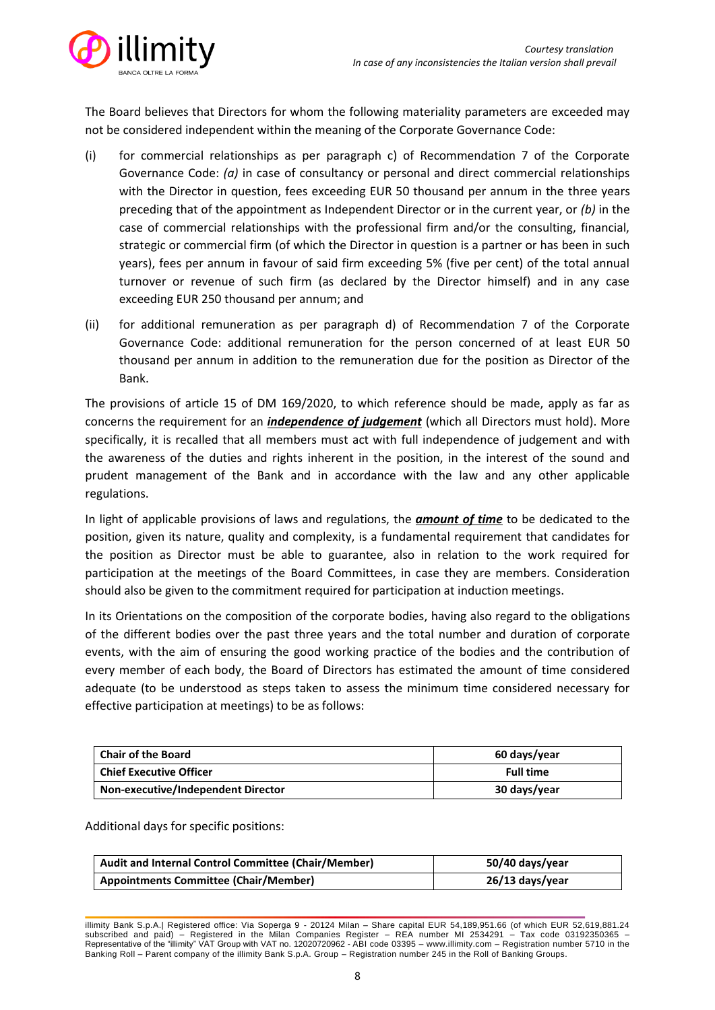

The Board believes that Directors for whom the following materiality parameters are exceeded may not be considered independent within the meaning of the Corporate Governance Code:

- (i) for commercial relationships as per paragraph c) of Recommendation 7 of the Corporate Governance Code: *(a)* in case of consultancy or personal and direct commercial relationships with the Director in question, fees exceeding EUR 50 thousand per annum in the three years preceding that of the appointment as Independent Director or in the current year, or *(b)* in the case of commercial relationships with the professional firm and/or the consulting, financial, strategic or commercial firm (of which the Director in question is a partner or has been in such years), fees per annum in favour of said firm exceeding 5% (five per cent) of the total annual turnover or revenue of such firm (as declared by the Director himself) and in any case exceeding EUR 250 thousand per annum; and
- (ii) for additional remuneration as per paragraph d) of Recommendation 7 of the Corporate Governance Code: additional remuneration for the person concerned of at least EUR 50 thousand per annum in addition to the remuneration due for the position as Director of the Bank.

The provisions of article 15 of DM 169/2020, to which reference should be made, apply as far as concerns the requirement for an *independence of judgement* (which all Directors must hold). More specifically, it is recalled that all members must act with full independence of judgement and with the awareness of the duties and rights inherent in the position, in the interest of the sound and prudent management of the Bank and in accordance with the law and any other applicable regulations.

In light of applicable provisions of laws and regulations, the *amount of time* to be dedicated to the position, given its nature, quality and complexity, is a fundamental requirement that candidates for the position as Director must be able to guarantee, also in relation to the work required for participation at the meetings of the Board Committees, in case they are members. Consideration should also be given to the commitment required for participation at induction meetings.

In its Orientations on the composition of the corporate bodies, having also regard to the obligations of the different bodies over the past three years and the total number and duration of corporate events, with the aim of ensuring the good working practice of the bodies and the contribution of every member of each body, the Board of Directors has estimated the amount of time considered adequate (to be understood as steps taken to assess the minimum time considered necessary for effective participation at meetings) to be as follows:

| <b>Chair of the Board</b>          | 60 days/year     |
|------------------------------------|------------------|
| <b>Chief Executive Officer</b>     | <b>Full time</b> |
| Non-executive/Independent Director | 30 days/year     |

Additional days for specific positions:

| Audit and Internal Control Committee (Chair/Member) | 50/40 days/year |
|-----------------------------------------------------|-----------------|
| <b>Appointments Committee (Chair/Member)</b>        | 26/13 days/year |

illimity Bank S.p.A.| Registered office: Via Soperga 9 - 20124 Milan – Share capital EUR 54,189,951.66 (of which EUR 52,619,881.24 subscribed and paid) – Registered in the Milan Companies Register – REA number MI 2534291 – Tax code 03192350365 – Representative of the "illimity" VAT Group with VAT no. 12020720962 - ABI code 03395 – [www.illimity.com](http://www.illimity.com/) – Registration number 5710 in the Banking Roll – Parent company of the illimity Bank S.p.A. Group – Registration number 245 in the Roll of Banking Groups.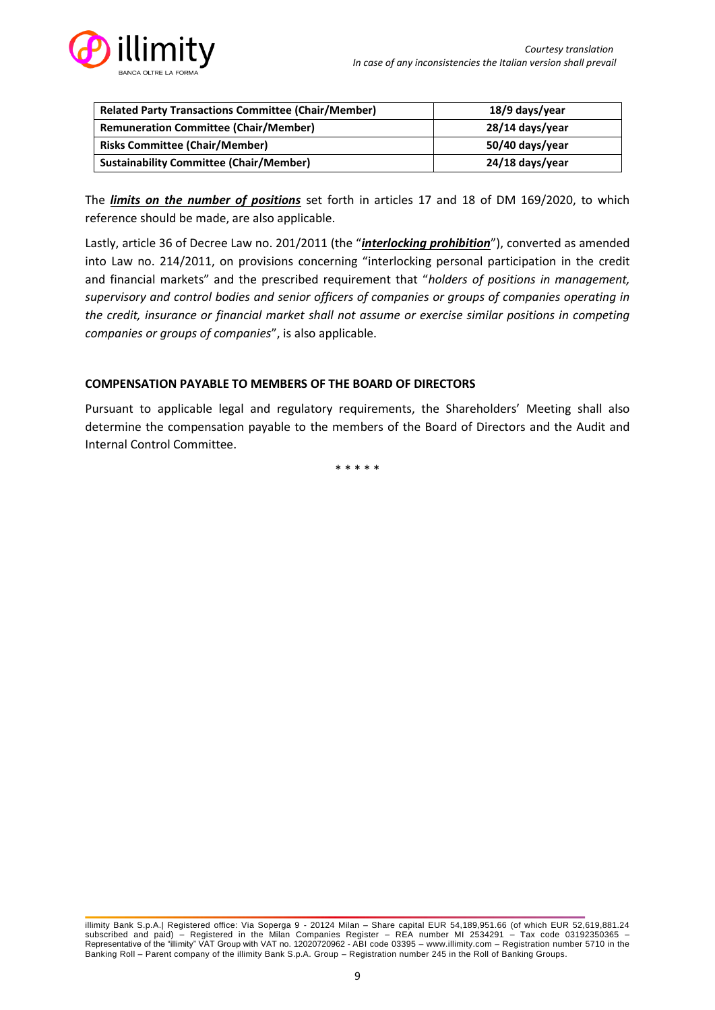

| <b>Related Party Transactions Committee (Chair/Member)</b> | 18/9 days/year  |
|------------------------------------------------------------|-----------------|
| <b>Remuneration Committee (Chair/Member)</b>               | 28/14 days/year |
| <b>Risks Committee (Chair/Member)</b>                      | 50/40 days/year |
| <b>Sustainability Committee (Chair/Member)</b>             | 24/18 days/year |

The *limits on the number of positions* set forth in articles 17 and 18 of DM 169/2020, to which reference should be made, are also applicable.

Lastly, article 36 of Decree Law no. 201/2011 (the "*interlocking prohibition*"), converted as amended into Law no. 214/2011, on provisions concerning "interlocking personal participation in the credit and financial markets" and the prescribed requirement that "*holders of positions in management, supervisory and control bodies and senior officers of companies or groups of companies operating in the credit, insurance or financial market shall not assume or exercise similar positions in competing companies or groups of companies*", is also applicable.

### **COMPENSATION PAYABLE TO MEMBERS OF THE BOARD OF DIRECTORS**

Pursuant to applicable legal and regulatory requirements, the Shareholders' Meeting shall also determine the compensation payable to the members of the Board of Directors and the Audit and Internal Control Committee.

\* \* \* \* \*

illimity Bank S.p.A.| Registered office: Via Soperga 9 - 20124 Milan – Share capital EUR 54,189,951.66 (of which EUR 52,619,881.24 subscribed and paid) – Registered in the Milan Companies Register – REA number MI 2534291 – Tax code 03192350365 – Representative of the "illimity" VAT Group with VAT no. 12020720962 - ABI code 03395 – [www.illimity.com](http://www.illimity.com/) – Registration number 5710 in the Banking Roll – Parent company of the illimity Bank S.p.A. Group – Registration number 245 in the Roll of Banking Groups.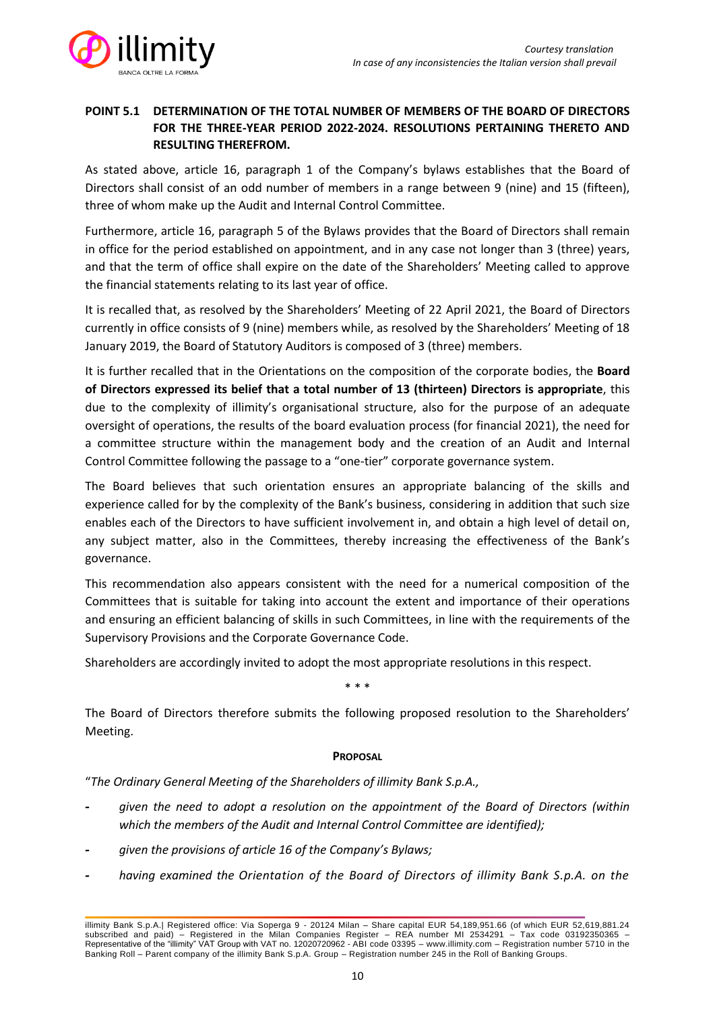

# **POINT 5.1 DETERMINATION OF THE TOTAL NUMBER OF MEMBERS OF THE BOARD OF DIRECTORS FOR THE THREE-YEAR PERIOD 2022-2024. RESOLUTIONS PERTAINING THERETO AND RESULTING THEREFROM.**

As stated above, article 16, paragraph 1 of the Company's bylaws establishes that the Board of Directors shall consist of an odd number of members in a range between 9 (nine) and 15 (fifteen), three of whom make up the Audit and Internal Control Committee.

Furthermore, article 16, paragraph 5 of the Bylaws provides that the Board of Directors shall remain in office for the period established on appointment, and in any case not longer than 3 (three) years, and that the term of office shall expire on the date of the Shareholders' Meeting called to approve the financial statements relating to its last year of office.

It is recalled that, as resolved by the Shareholders' Meeting of 22 April 2021, the Board of Directors currently in office consists of 9 (nine) members while, as resolved by the Shareholders' Meeting of 18 January 2019, the Board of Statutory Auditors is composed of 3 (three) members.

It is further recalled that in the Orientations on the composition of the corporate bodies, the **Board of Directors expressed its belief that a total number of 13 (thirteen) Directors is appropriate**, this due to the complexity of illimity's organisational structure, also for the purpose of an adequate oversight of operations, the results of the board evaluation process (for financial 2021), the need for a committee structure within the management body and the creation of an Audit and Internal Control Committee following the passage to a "one-tier" corporate governance system.

The Board believes that such orientation ensures an appropriate balancing of the skills and experience called for by the complexity of the Bank's business, considering in addition that such size enables each of the Directors to have sufficient involvement in, and obtain a high level of detail on, any subject matter, also in the Committees, thereby increasing the effectiveness of the Bank's governance.

This recommendation also appears consistent with the need for a numerical composition of the Committees that is suitable for taking into account the extent and importance of their operations and ensuring an efficient balancing of skills in such Committees, in line with the requirements of the Supervisory Provisions and the Corporate Governance Code.

Shareholders are accordingly invited to adopt the most appropriate resolutions in this respect.

\* \* \*

The Board of Directors therefore submits the following proposed resolution to the Shareholders' Meeting.

# **PROPOSAL**

"*The Ordinary General Meeting of the Shareholders of illimity Bank S.p.A.,*

- **-** *given the need to adopt a resolution on the appointment of the Board of Directors (within which the members of the Audit and Internal Control Committee are identified);*
- **-** *given the provisions of article 16 of the Company's Bylaws;*
- **-** *having examined the Orientation of the Board of Directors of illimity Bank S.p.A. on the*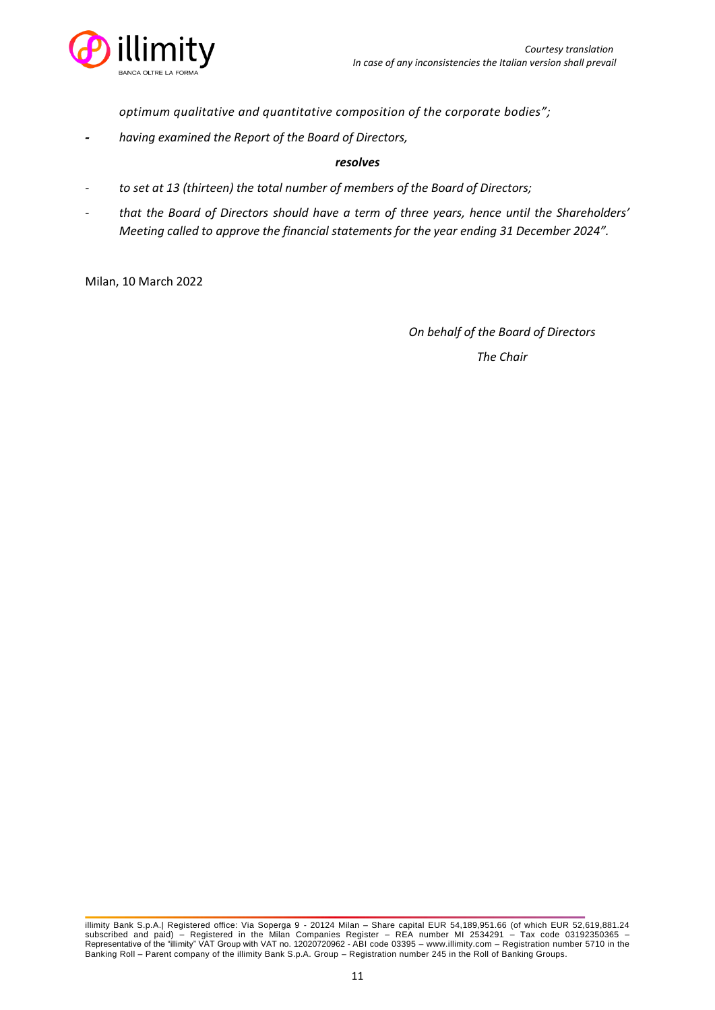

*optimum qualitative and quantitative composition of the corporate bodies";*

**-** *having examined the Report of the Board of Directors,*

### *resolves*

- *- to set at 13 (thirteen) the total number of members of the Board of Directors;*
- *- that the Board of Directors should have a term of three years, hence until the Shareholders' Meeting called to approve the financial statements for the year ending 31 December 2024".*

Milan, 10 March 2022

*On behalf of the Board of Directors*

illimity Bank S.p.A.| Registered office: Via Soperga 9 - 20124 Milan – Share capital EUR 54,189,951.66 (of which EUR 52,619,881.24 subscribed and paid) – Registered in the Milan Companies Register – REA number MI 2534291 – Tax code 03192350365 – Representative of the "illimity" VAT Group with VAT no. 12020720962 - ABI code 03395 – [www.illimity.com](http://www.illimity.com/) – Registration number 5710 in the Banking Roll – Parent company of the illimity Bank S.p.A. Group – Registration number 245 in the Roll of Banking Groups.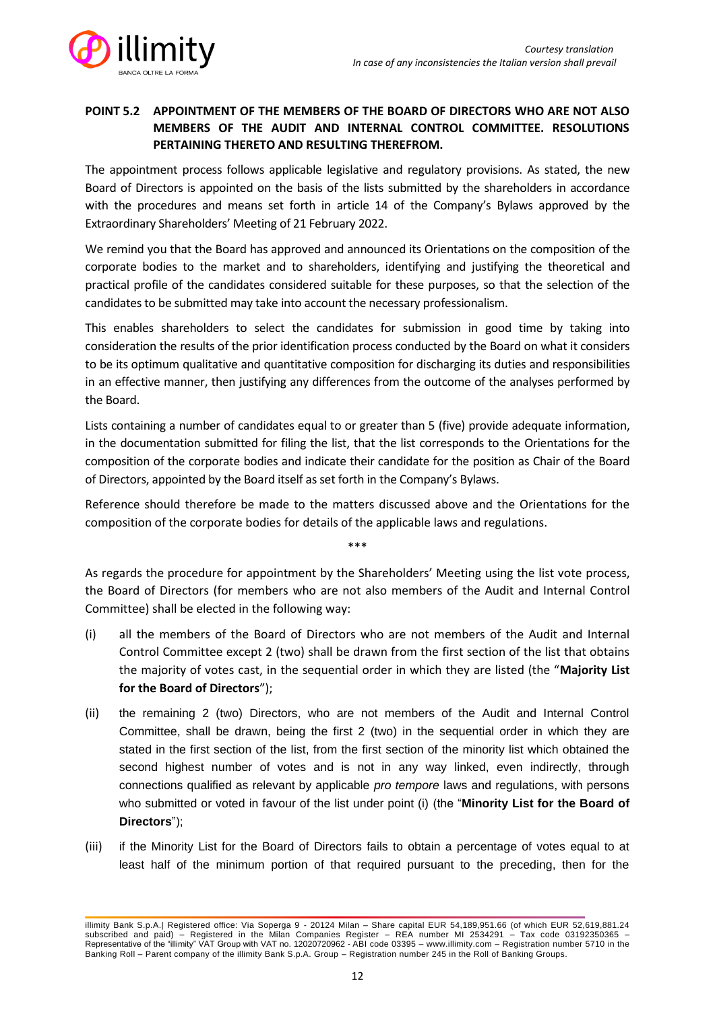

# **POINT 5.2 APPOINTMENT OF THE MEMBERS OF THE BOARD OF DIRECTORS WHO ARE NOT ALSO MEMBERS OF THE AUDIT AND INTERNAL CONTROL COMMITTEE. RESOLUTIONS PERTAINING THERETO AND RESULTING THEREFROM.**

The appointment process follows applicable legislative and regulatory provisions. As stated, the new Board of Directors is appointed on the basis of the lists submitted by the shareholders in accordance with the procedures and means set forth in article 14 of the Company's Bylaws approved by the Extraordinary Shareholders' Meeting of 21 February 2022.

We remind you that the Board has approved and announced its Orientations on the composition of the corporate bodies to the market and to shareholders, identifying and justifying the theoretical and practical profile of the candidates considered suitable for these purposes, so that the selection of the candidates to be submitted may take into account the necessary professionalism.

This enables shareholders to select the candidates for submission in good time by taking into consideration the results of the prior identification process conducted by the Board on what it considers to be its optimum qualitative and quantitative composition for discharging its duties and responsibilities in an effective manner, then justifying any differences from the outcome of the analyses performed by the Board.

Lists containing a number of candidates equal to or greater than 5 (five) provide adequate information, in the documentation submitted for filing the list, that the list corresponds to the Orientations for the composition of the corporate bodies and indicate their candidate for the position as Chair of the Board of Directors, appointed by the Board itself as set forth in the Company's Bylaws.

Reference should therefore be made to the matters discussed above and the Orientations for the composition of the corporate bodies for details of the applicable laws and regulations.

\*\*\*

As regards the procedure for appointment by the Shareholders' Meeting using the list vote process, the Board of Directors (for members who are not also members of the Audit and Internal Control Committee) shall be elected in the following way:

- (i) all the members of the Board of Directors who are not members of the Audit and Internal Control Committee except 2 (two) shall be drawn from the first section of the list that obtains the majority of votes cast, in the sequential order in which they are listed (the "**Majority List for the Board of Directors**");
- (ii) the remaining 2 (two) Directors, who are not members of the Audit and Internal Control Committee, shall be drawn, being the first 2 (two) in the sequential order in which they are stated in the first section of the list, from the first section of the minority list which obtained the second highest number of votes and is not in any way linked, even indirectly, through connections qualified as relevant by applicable *pro tempore* laws and regulations, with persons who submitted or voted in favour of the list under point (i) (the "**Minority List for the Board of Directors**");
- (iii) if the Minority List for the Board of Directors fails to obtain a percentage of votes equal to at least half of the minimum portion of that required pursuant to the preceding, then for the

illimity Bank S.p.A.| Registered office: Via Soperga 9 - 20124 Milan – Share capital EUR 54,189,951.66 (of which EUR 52,619,881.24 subscribed and paid) – Registered in the Milan Companies Register – REA number MI 2534291 – Tax code 03192350365 – Representative of the "illimity" VAT Group with VAT no. 12020720962 - ABI code 03395 – [www.illimity.com](http://www.illimity.com/) – Registration number 5710 in the Banking Roll – Parent company of the illimity Bank S.p.A. Group – Registration number 245 in the Roll of Banking Groups.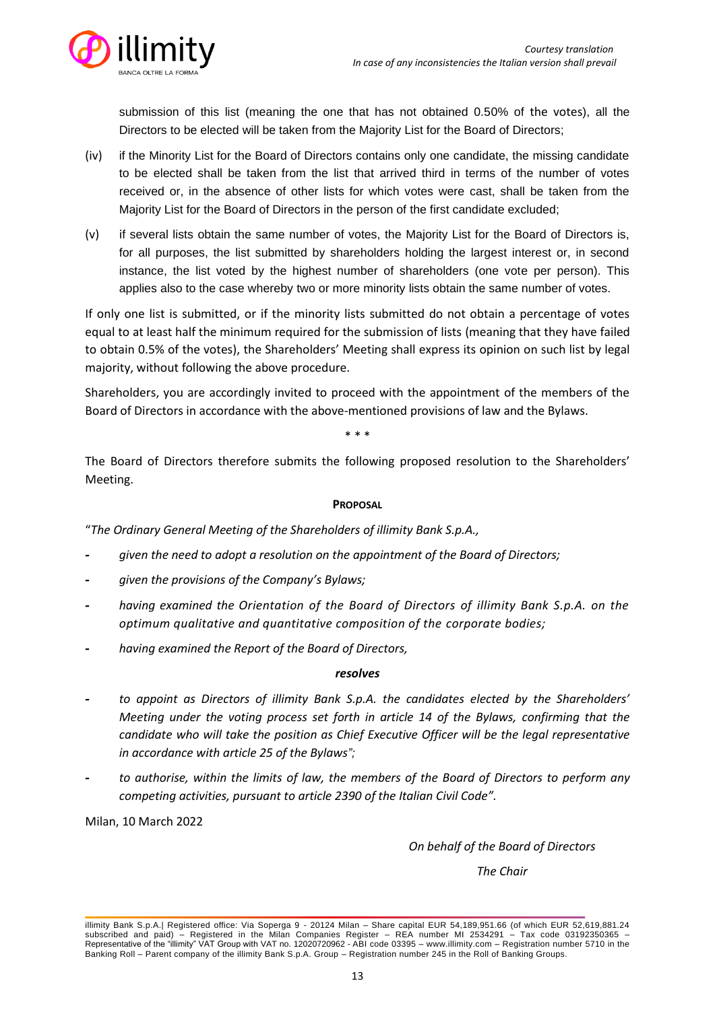

submission of this list (meaning the one that has not obtained 0.50% of the votes), all the Directors to be elected will be taken from the Majority List for the Board of Directors;

- (iv) if the Minority List for the Board of Directors contains only one candidate, the missing candidate to be elected shall be taken from the list that arrived third in terms of the number of votes received or, in the absence of other lists for which votes were cast, shall be taken from the Majority List for the Board of Directors in the person of the first candidate excluded;
- (v) if several lists obtain the same number of votes, the Majority List for the Board of Directors is, for all purposes, the list submitted by shareholders holding the largest interest or, in second instance, the list voted by the highest number of shareholders (one vote per person). This applies also to the case whereby two or more minority lists obtain the same number of votes.

If only one list is submitted, or if the minority lists submitted do not obtain a percentage of votes equal to at least half the minimum required for the submission of lists (meaning that they have failed to obtain 0.5% of the votes), the Shareholders' Meeting shall express its opinion on such list by legal majority, without following the above procedure.

Shareholders, you are accordingly invited to proceed with the appointment of the members of the Board of Directors in accordance with the above-mentioned provisions of law and the Bylaws.

\* \* \*

The Board of Directors therefore submits the following proposed resolution to the Shareholders' Meeting.

### **PROPOSAL**

"*The Ordinary General Meeting of the Shareholders of illimity Bank S.p.A.,*

- **-** *given the need to adopt a resolution on the appointment of the Board of Directors;*
- **-** *given the provisions of the Company's Bylaws;*
- **-** *having examined the Orientation of the Board of Directors of illimity Bank S.p.A. on the optimum qualitative and quantitative composition of the corporate bodies;*
- **-** *having examined the Report of the Board of Directors,*

### *resolves*

- **-** *to appoint as Directors of illimity Bank S.p.A. the candidates elected by the Shareholders' Meeting under the voting process set forth in article 14 of the Bylaws, confirming that the candidate who will take the position as Chief Executive Officer will be the legal representative in accordance with article 25 of the Bylaws";*
- **-** *to authorise, within the limits of law, the members of the Board of Directors to perform any competing activities, pursuant to article 2390 of the Italian Civil Code".*

Milan, 10 March 2022

*On behalf of the Board of Directors*

illimity Bank S.p.A.| Registered office: Via Soperga 9 - 20124 Milan – Share capital EUR 54,189,951.66 (of which EUR 52,619,881.24 subscribed and paid) – Registered in the Milan Companies Register – REA number MI 2534291 – Tax code 03192350365 – Representative of the "illimity" VAT Group with VAT no. 12020720962 - ABI code 03395 – [www.illimity.com](http://www.illimity.com/) – Registration number 5710 in the Banking Roll – Parent company of the illimity Bank S.p.A. Group – Registration number 245 in the Roll of Banking Groups.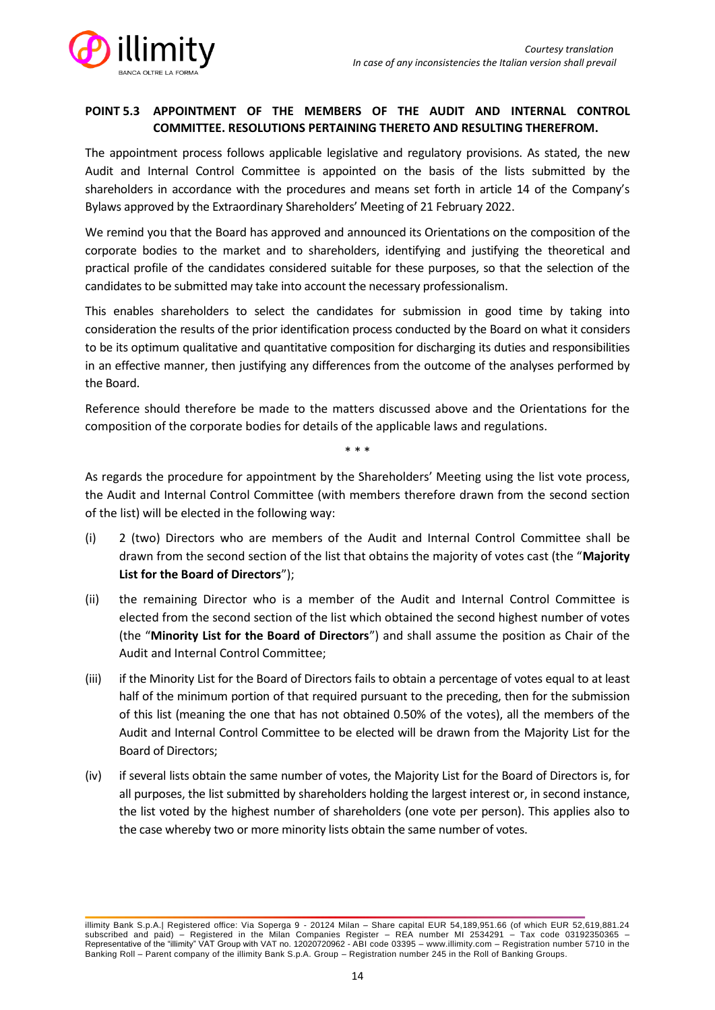

# **POINT 5.3 APPOINTMENT OF THE MEMBERS OF THE AUDIT AND INTERNAL CONTROL COMMITTEE. RESOLUTIONS PERTAINING THERETO AND RESULTING THEREFROM.**

The appointment process follows applicable legislative and regulatory provisions. As stated, the new Audit and Internal Control Committee is appointed on the basis of the lists submitted by the shareholders in accordance with the procedures and means set forth in article 14 of the Company's Bylaws approved by the Extraordinary Shareholders' Meeting of 21 February 2022.

We remind you that the Board has approved and announced its Orientations on the composition of the corporate bodies to the market and to shareholders, identifying and justifying the theoretical and practical profile of the candidates considered suitable for these purposes, so that the selection of the candidates to be submitted may take into account the necessary professionalism.

This enables shareholders to select the candidates for submission in good time by taking into consideration the results of the prior identification process conducted by the Board on what it considers to be its optimum qualitative and quantitative composition for discharging its duties and responsibilities in an effective manner, then justifying any differences from the outcome of the analyses performed by the Board.

Reference should therefore be made to the matters discussed above and the Orientations for the composition of the corporate bodies for details of the applicable laws and regulations.

\* \* \*

As regards the procedure for appointment by the Shareholders' Meeting using the list vote process, the Audit and Internal Control Committee (with members therefore drawn from the second section of the list) will be elected in the following way:

- (i) 2 (two) Directors who are members of the Audit and Internal Control Committee shall be drawn from the second section of the list that obtains the majority of votes cast (the "**Majority List for the Board of Directors**");
- (ii) the remaining Director who is a member of the Audit and Internal Control Committee is elected from the second section of the list which obtained the second highest number of votes (the "**Minority List for the Board of Directors**") and shall assume the position as Chair of the Audit and Internal Control Committee;
- (iii) if the Minority List for the Board of Directors fails to obtain a percentage of votes equal to at least half of the minimum portion of that required pursuant to the preceding, then for the submission of this list (meaning the one that has not obtained 0.50% of the votes), all the members of the Audit and Internal Control Committee to be elected will be drawn from the Majority List for the Board of Directors;
- (iv) if several lists obtain the same number of votes, the Majority List for the Board of Directors is, for all purposes, the list submitted by shareholders holding the largest interest or, in second instance, the list voted by the highest number of shareholders (one vote per person). This applies also to the case whereby two or more minority lists obtain the same number of votes.

illimity Bank S.p.A.| Registered office: Via Soperga 9 - 20124 Milan – Share capital EUR 54,189,951.66 (of which EUR 52,619,881.24 subscribed and paid) – Registered in the Milan Companies Register – REA number MI 2534291 – Tax code 03192350365 – Representative of the "illimity" VAT Group with VAT no. 12020720962 - ABI code 03395 – [www.illimity.com](http://www.illimity.com/) – Registration number 5710 in the Banking Roll – Parent company of the illimity Bank S.p.A. Group – Registration number 245 in the Roll of Banking Groups.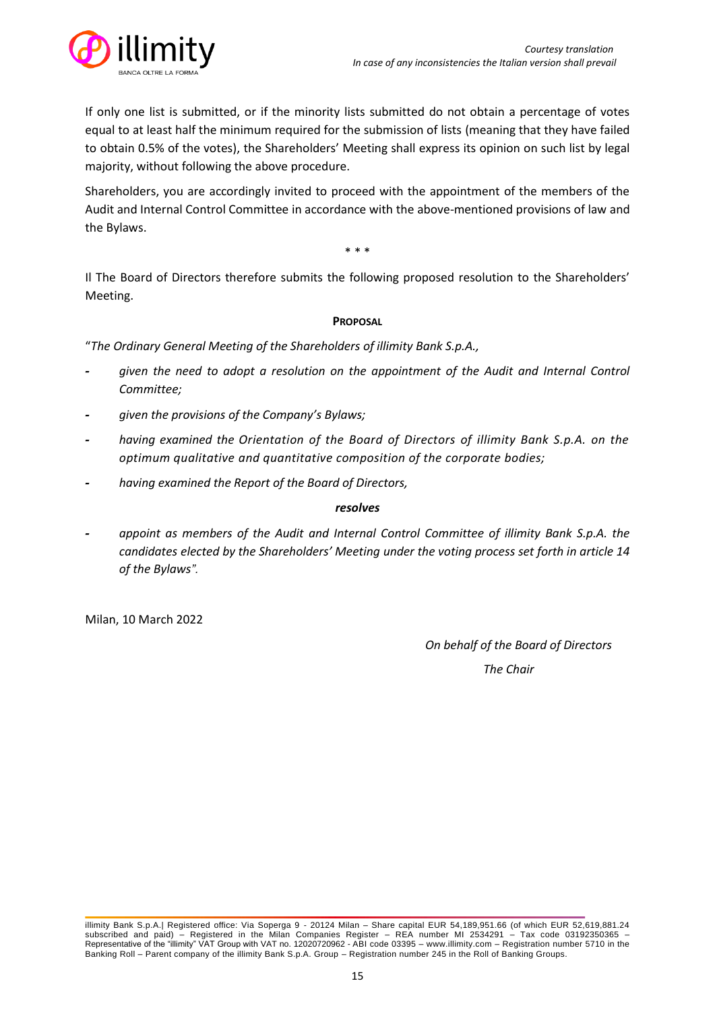

If only one list is submitted, or if the minority lists submitted do not obtain a percentage of votes equal to at least half the minimum required for the submission of lists (meaning that they have failed to obtain 0.5% of the votes), the Shareholders' Meeting shall express its opinion on such list by legal majority, without following the above procedure.

Shareholders, you are accordingly invited to proceed with the appointment of the members of the Audit and Internal Control Committee in accordance with the above-mentioned provisions of law and the Bylaws.

\* \* \*

Il The Board of Directors therefore submits the following proposed resolution to the Shareholders' Meeting.

### **PROPOSAL**

"*The Ordinary General Meeting of the Shareholders of illimity Bank S.p.A.,*

- **-** *given the need to adopt a resolution on the appointment of the Audit and Internal Control Committee;*
- **-** *given the provisions of the Company's Bylaws;*
- **-** *having examined the Orientation of the Board of Directors of illimity Bank S.p.A. on the optimum qualitative and quantitative composition of the corporate bodies;*
- **-** *having examined the Report of the Board of Directors,*

#### *resolves*

**-** *appoint as members of the Audit and Internal Control Committee of illimity Bank S.p.A. the candidates elected by the Shareholders' Meeting under the voting process set forth in article 14 of the Bylaws".*

Milan, 10 March 2022

*On behalf of the Board of Directors*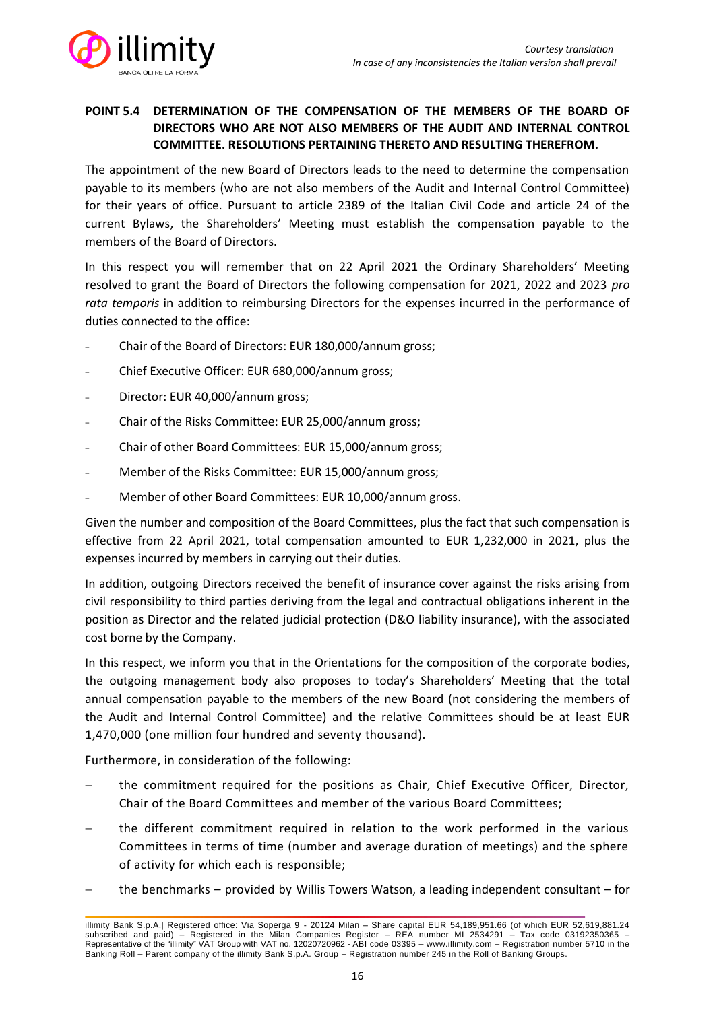

# **POINT 5.4 DETERMINATION OF THE COMPENSATION OF THE MEMBERS OF THE BOARD OF DIRECTORS WHO ARE NOT ALSO MEMBERS OF THE AUDIT AND INTERNAL CONTROL COMMITTEE. RESOLUTIONS PERTAINING THERETO AND RESULTING THEREFROM.**

The appointment of the new Board of Directors leads to the need to determine the compensation payable to its members (who are not also members of the Audit and Internal Control Committee) for their years of office. Pursuant to article 2389 of the Italian Civil Code and article 24 of the current Bylaws, the Shareholders' Meeting must establish the compensation payable to the members of the Board of Directors.

In this respect you will remember that on 22 April 2021 the Ordinary Shareholders' Meeting resolved to grant the Board of Directors the following compensation for 2021, 2022 and 2023 *pro rata temporis* in addition to reimbursing Directors for the expenses incurred in the performance of duties connected to the office:

- ₋ Chair of the Board of Directors: EUR 180,000/annum gross;
- ₋ Chief Executive Officer: EUR 680,000/annum gross;
- ₋ Director: EUR 40,000/annum gross;
- ₋ Chair of the Risks Committee: EUR 25,000/annum gross;
- ₋ Chair of other Board Committees: EUR 15,000/annum gross;
- Member of the Risks Committee: EUR 15,000/annum gross;
- ₋ Member of other Board Committees: EUR 10,000/annum gross.

Given the number and composition of the Board Committees, plus the fact that such compensation is effective from 22 April 2021, total compensation amounted to EUR 1,232,000 in 2021, plus the expenses incurred by members in carrying out their duties.

In addition, outgoing Directors received the benefit of insurance cover against the risks arising from civil responsibility to third parties deriving from the legal and contractual obligations inherent in the position as Director and the related judicial protection (D&O liability insurance), with the associated cost borne by the Company.

In this respect, we inform you that in the Orientations for the composition of the corporate bodies, the outgoing management body also proposes to today's Shareholders' Meeting that the total annual compensation payable to the members of the new Board (not considering the members of the Audit and Internal Control Committee) and the relative Committees should be at least EUR 1,470,000 (one million four hundred and seventy thousand).

Furthermore, in consideration of the following:

- the commitment required for the positions as Chair, Chief Executive Officer, Director, Chair of the Board Committees and member of the various Board Committees;
- the different commitment required in relation to the work performed in the various Committees in terms of time (number and average duration of meetings) and the sphere of activity for which each is responsible;
- − the benchmarks provided by Willis Towers Watson, a leading independent consultant for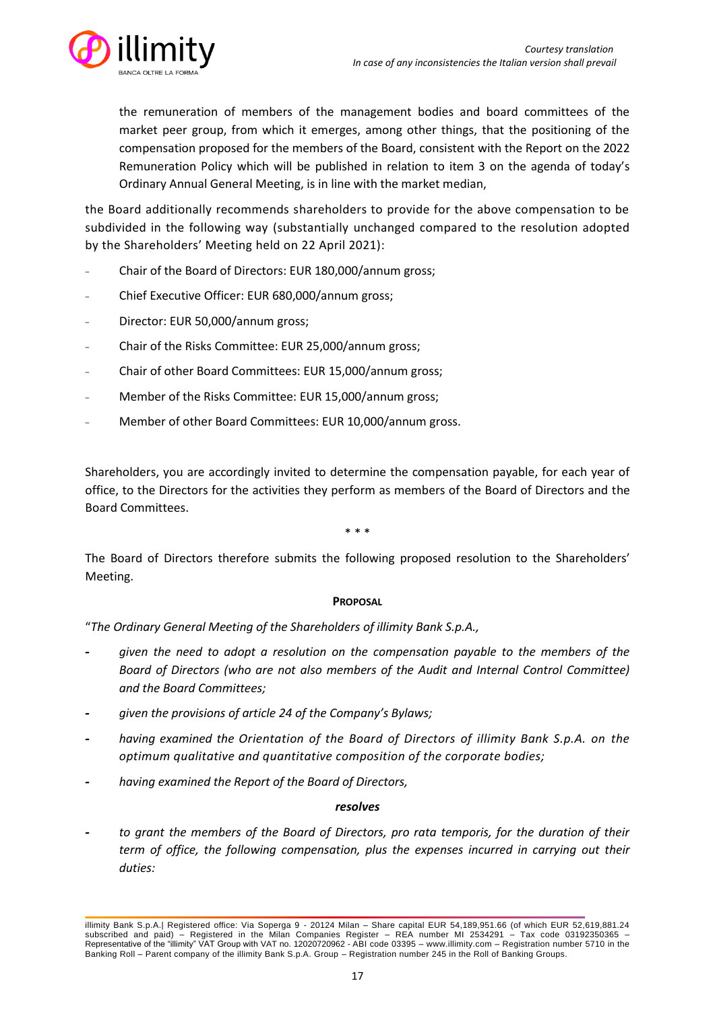

the remuneration of members of the management bodies and board committees of the market peer group, from which it emerges, among other things, that the positioning of the compensation proposed for the members of the Board, consistent with the Report on the 2022 Remuneration Policy which will be published in relation to item 3 on the agenda of today's Ordinary Annual General Meeting, is in line with the market median,

the Board additionally recommends shareholders to provide for the above compensation to be subdivided in the following way (substantially unchanged compared to the resolution adopted by the Shareholders' Meeting held on 22 April 2021):

- ₋ Chair of the Board of Directors: EUR 180,000/annum gross;
- ₋ Chief Executive Officer: EUR 680,000/annum gross;
- ₋ Director: EUR 50,000/annum gross;
- ₋ Chair of the Risks Committee: EUR 25,000/annum gross;
- Chair of other Board Committees: EUR 15,000/annum gross;
- Member of the Risks Committee: EUR 15,000/annum gross;
- ₋ Member of other Board Committees: EUR 10,000/annum gross.

Shareholders, you are accordingly invited to determine the compensation payable, for each year of office, to the Directors for the activities they perform as members of the Board of Directors and the Board Committees.

\* \* \*

The Board of Directors therefore submits the following proposed resolution to the Shareholders' Meeting.

### **PROPOSAL**

"*The Ordinary General Meeting of the Shareholders of illimity Bank S.p.A.,*

- **-** *given the need to adopt a resolution on the compensation payable to the members of the Board of Directors (who are not also members of the Audit and Internal Control Committee) and the Board Committees;*
- **-** *given the provisions of article 24 of the Company's Bylaws;*
- **-** *having examined the Orientation of the Board of Directors of illimity Bank S.p.A. on the optimum qualitative and quantitative composition of the corporate bodies;*
- **-** *having examined the Report of the Board of Directors,*

### *resolves*

**-** *to grant the members of the Board of Directors, pro rata temporis, for the duration of their term of office, the following compensation, plus the expenses incurred in carrying out their duties:*

illimity Bank S.p.A.| Registered office: Via Soperga 9 - 20124 Milan – Share capital EUR 54,189,951.66 (of which EUR 52,619,881.24 subscribed and paid) – Registered in the Milan Companies Register – REA number MI 2534291 – Tax code 03192350365 – Representative of the "illimity" VAT Group with VAT no. 12020720962 - ABI code 03395 – [www.illimity.com](http://www.illimity.com/) – Registration number 5710 in the Banking Roll – Parent company of the illimity Bank S.p.A. Group – Registration number 245 in the Roll of Banking Groups.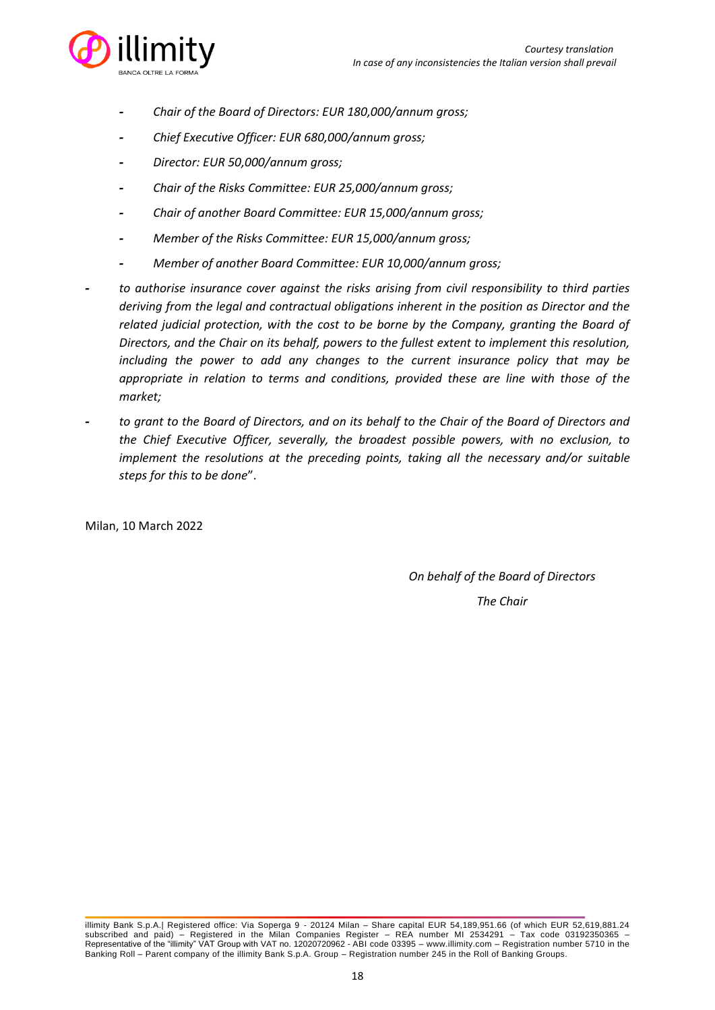

- **-** *Chair of the Board of Directors: EUR 180,000/annum gross;*
- **-** *Chief Executive Officer: EUR 680,000/annum gross;*
- **-** *Director: EUR 50,000/annum gross;*
- **-** *Chair of the Risks Committee: EUR 25,000/annum gross;*
- **-** *Chair of another Board Committee: EUR 15,000/annum gross;*
- **-** *Member of the Risks Committee: EUR 15,000/annum gross;*
- **-** *Member of another Board Committee: EUR 10,000/annum gross;*
- **-** *to authorise insurance cover against the risks arising from civil responsibility to third parties deriving from the legal and contractual obligations inherent in the position as Director and the related judicial protection, with the cost to be borne by the Company, granting the Board of Directors, and the Chair on its behalf, powers to the fullest extent to implement this resolution, including the power to add any changes to the current insurance policy that may be appropriate in relation to terms and conditions, provided these are line with those of the market;*
- **-** *to grant to the Board of Directors, and on its behalf to the Chair of the Board of Directors and the Chief Executive Officer, severally, the broadest possible powers, with no exclusion, to implement the resolutions at the preceding points, taking all the necessary and/or suitable steps for this to be done*".

Milan, 10 March 2022

*On behalf of the Board of Directors*

illimity Bank S.p.A.| Registered office: Via Soperga 9 - 20124 Milan – Share capital EUR 54,189,951.66 (of which EUR 52,619,881.24 subscribed and paid) – Registered in the Milan Companies Register – REA number MI 2534291 – Tax code 03192350365 – Representative of the "illimity" VAT Group with VAT no. 12020720962 - ABI code 03395 – [www.illimity.com](http://www.illimity.com/) – Registration number 5710 in the Banking Roll – Parent company of the illimity Bank S.p.A. Group – Registration number 245 in the Roll of Banking Groups.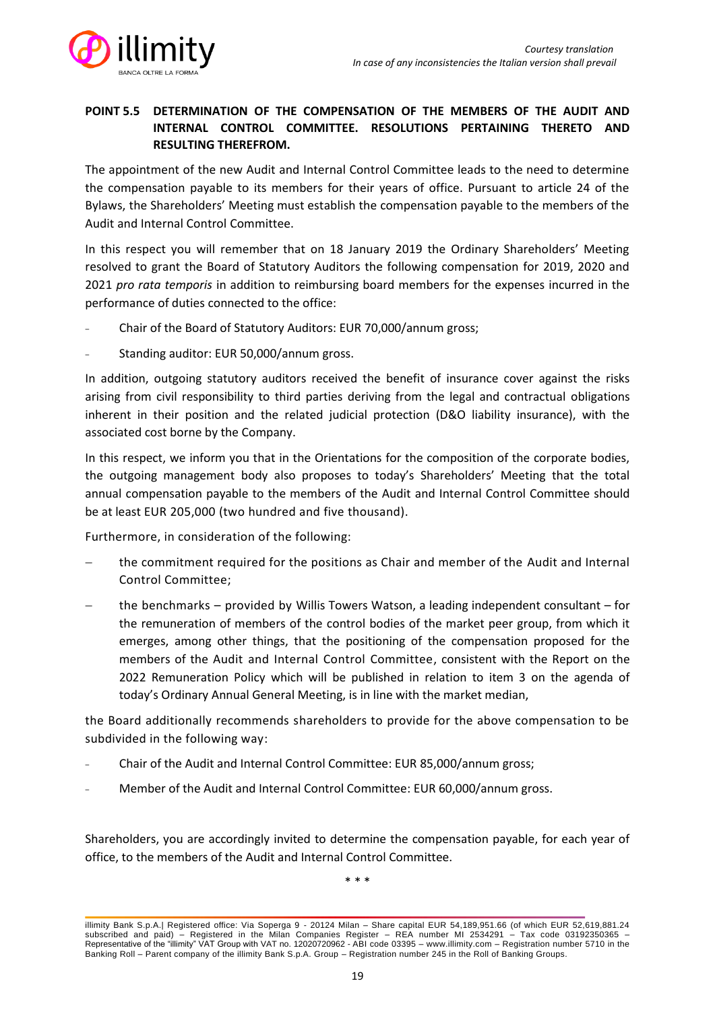

# **POINT 5.5 DETERMINATION OF THE COMPENSATION OF THE MEMBERS OF THE AUDIT AND INTERNAL CONTROL COMMITTEE. RESOLUTIONS PERTAINING THERETO AND RESULTING THEREFROM.**

The appointment of the new Audit and Internal Control Committee leads to the need to determine the compensation payable to its members for their years of office. Pursuant to article 24 of the Bylaws, the Shareholders' Meeting must establish the compensation payable to the members of the Audit and Internal Control Committee.

In this respect you will remember that on 18 January 2019 the Ordinary Shareholders' Meeting resolved to grant the Board of Statutory Auditors the following compensation for 2019, 2020 and 2021 *pro rata temporis* in addition to reimbursing board members for the expenses incurred in the performance of duties connected to the office:

- ₋ Chair of the Board of Statutory Auditors: EUR 70,000/annum gross;
- Standing auditor: EUR 50,000/annum gross.

In addition, outgoing statutory auditors received the benefit of insurance cover against the risks arising from civil responsibility to third parties deriving from the legal and contractual obligations inherent in their position and the related judicial protection (D&O liability insurance), with the associated cost borne by the Company.

In this respect, we inform you that in the Orientations for the composition of the corporate bodies, the outgoing management body also proposes to today's Shareholders' Meeting that the total annual compensation payable to the members of the Audit and Internal Control Committee should be at least EUR 205,000 (two hundred and five thousand).

Furthermore, in consideration of the following:

- the commitment required for the positions as Chair and member of the Audit and Internal Control Committee;
- the benchmarks provided by Willis Towers Watson, a leading independent consultant for the remuneration of members of the control bodies of the market peer group, from which it emerges, among other things, that the positioning of the compensation proposed for the members of the Audit and Internal Control Committee, consistent with the Report on the 2022 Remuneration Policy which will be published in relation to item 3 on the agenda of today's Ordinary Annual General Meeting, is in line with the market median,

the Board additionally recommends shareholders to provide for the above compensation to be subdivided in the following way:

- ₋ Chair of the Audit and Internal Control Committee: EUR 85,000/annum gross;
- Member of the Audit and Internal Control Committee: EUR 60,000/annum gross.

Shareholders, you are accordingly invited to determine the compensation payable, for each year of office, to the members of the Audit and Internal Control Committee.

\* \* \*

illimity Bank S.p.A.| Registered office: Via Soperga 9 - 20124 Milan – Share capital EUR 54,189,951.66 (of which EUR 52,619,881.24 subscribed and paid) – Registered in the Milan Companies Register – REA number MI 2534291 – Tax code 03192350365 – Representative of the "illimity" VAT Group with VAT no. 12020720962 - ABI code 03395 – [www.illimity.com](http://www.illimity.com/) – Registration number 5710 in the Banking Roll – Parent company of the illimity Bank S.p.A. Group – Registration number 245 in the Roll of Banking Groups.